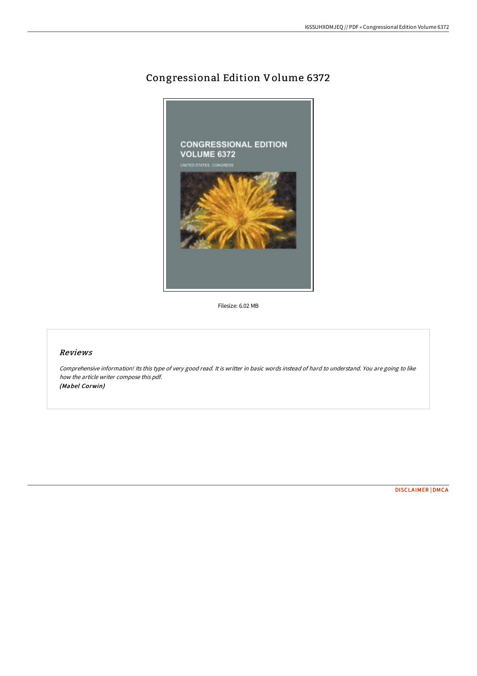## Congressional Edition Volume 6372



Filesize: 6.02 MB

## Reviews

Comprehensive information! Its this type of very good read. It is writter in basic words instead of hard to understand. You are going to like how the article writer compose this pdf. (Mabel Corwin)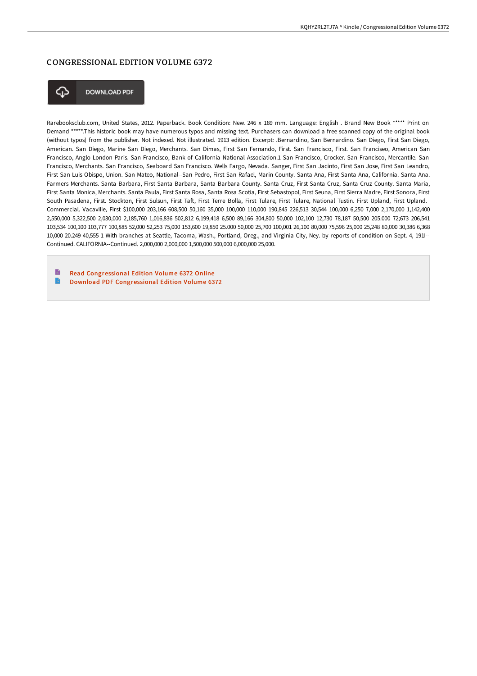## CONGRESSIONAL EDITION VOLUME 6372



**DOWNLOAD PDF** 

Rarebooksclub.com, United States, 2012. Paperback. Book Condition: New. 246 x 189 mm. Language: English . Brand New Book \*\*\*\*\* Print on Demand \*\*\*\*\*.This historic book may have numerous typos and missing text. Purchasers can download a free scanned copy of the original book (without typos) from the publisher. Not indexed. Not illustrated. 1913 edition. Excerpt: .Bernardino, San Bernardino. San Diego, First San Diego, American. San Diego, Marine San Diego, Merchants. San Dimas, First San Fernando, First. San Francisco, First. San Franciseo, American San Francisco, Anglo London Paris. San Francisco, Bank of California National Association.1 San Francisco, Crocker. San Francisco, Mercantile. San Francisco, Merchants. San Francisco, Seaboard San Francisco. Wells Fargo, Nevada. Sanger, First San Jacinto, First San Jose, First San Leandro, First San Luis Obispo, Union. San Mateo, National--San Pedro, First San Rafael, Marin County. Santa Ana, First Santa Ana, California. Santa Ana. Farmers Merchants. Santa Barbara, First Santa Barbara, Santa Barbara County. Santa Cruz, First Santa Cruz, Santa Cruz County. Santa Maria, First Santa Monica, Merchants. Santa Paula, First Santa Rosa, Santa Rosa Scotia, First Sebastopol, First Seuna, First Sierra Madre, First Sonora, First South Pasadena, First, Stockton, First Sulsun, First Taft, First Terre Bolla, First Tulare, First Tulare, National Tustin, First Upland, First Upland, Commercial. Vacavilie, First \$100,000 203,166 608,500 50,160 35,000 100,000 110,000 190,845 226,513 30,544 100,000 6,250 7,000 2,170,000 1,142,400 2,550,000 5,322,500 2,030,000 2,185,760 1,016,836 502,812 6,199,418 6,500 89,166 304,800 50,000 102,100 12,730 78,187 50,500 205.000 72;673 206,541 103,534 100,100 103,777 100,885 52,000 52,253 75,000 153,600 19,850 25.000 50,000 25,700 100,001 26,100 80,000 75,596 25,000 25,248 80,000 30,386 6,368 10,000 20.249 40,555 1 With branches at Seattle, Tacoma, Wash., Portland, Oreg., and Virginia City, Ney. by reports of condition on Sept. 4, 191I-- Continued. CALIFORNIA--Continued. 2,000,000 2,000,000 1,500,000 500,000 6,000,000 25,000.

E Read [Congressional](http://albedo.media/congressional-edition-volume-6372-paperback.html) Edition Volume 6372 Online  $\rightarrow$ Download PDF [Congressional](http://albedo.media/congressional-edition-volume-6372-paperback.html) Edition Volume 6372